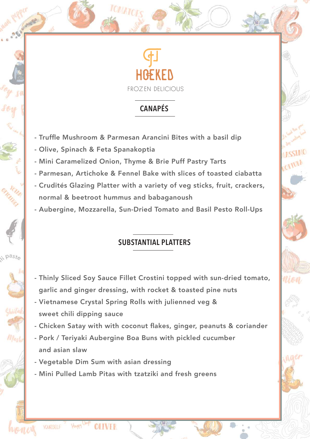

# **CANAPÉS**

- Truffle Mushroom & Parmesan Arancini Bites with a basil dip
- Olive, Spinach & Feta Spanakoptia

paste

Shiitah

Mushi

- Mini Caramelized Onion, Thyme & Brie Puff Pastry Tarts
- Parmesan, Artichoke & Fennel Bake with slices of toasted ciabatta
- Crudités Glazing Platter with a variety of veg sticks, fruit, crackers, normal & beetroot hummus and babaganoush
- Aubergine, Mozzarella, Sun-Dried Tomato and Basil Pesto Roll-Ups

# **SUBSTANTIAL PLATTERS**

- Thinly Sliced Soy Sauce Fillet Crostini topped with sun-dried tomato, garlic and ginger dressing, with rocket & toasted pine nuts
- Vietnamese Crystal Spring Rolls with julienned veg & sweet chili dipping sauce
- Chicken Satay with with coconut flakes, ginger, peanuts & coriander
- Pork / Teriyaki Aubergine Boa Buns with pickled cucumber and asian slaw
- Vegetable Dim Sum with asian dressing

**OITVER** 

**VOURSELF** 

HEAPPY

- Mini Pulled Lamb Pitas with tzatziki and fresh greens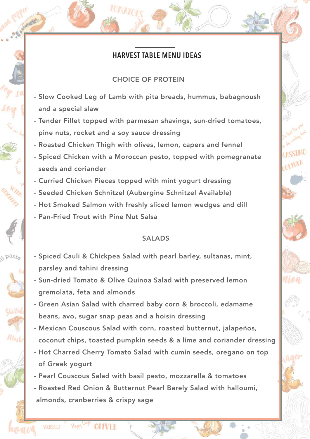### **HARVEST TABLE MENU IDEAS**

#### CHOICE OF PROTEIN

- Slow Cooked Leg of Lamb with pita breads, hummus, babagnoush and a special slaw
- Tender Fillet topped with parmesan shavings, sun-dried tomatoes, pine nuts, rocket and a soy sauce dressing
- Roasted Chicken Thigh with olives, lemon, capers and fennel
- Spiced Chicken with a Moroccan pesto, topped with pomegranate seeds and coriander
- Curried Chicken Pieces topped with mint yogurt dressing
- Seeded Chicken Schnitzel (Aubergine Schnitzel Available)
- Hot Smoked Salmon with freshly sliced lemon wedges and dill
- Pan-Fried Trout with Pine Nut Salsa

HEPPY

**OITVER** 

VOURSELF

paste

Musl

### SALADS

- Spiced Cauli & Chickpea Salad with pearl barley, sultanas, mint, parsley and tahini dressing
- Sun-dried Tomato & Olive Quinoa Salad with preserved lemon gremolata, feta and almonds
- Green Asian Salad with charred baby corn & broccoli, edamame beans, avo, sugar snap peas and a hoisin dressing
- Mexican Couscous Salad with corn, roasted butternut, jalapeños, coconut chips, toasted pumpkin seeds & a lime and coriander dressing
- Hot Charred Cherry Tomato Salad with cumin seeds, oregano on top of Greek yogurt
- Pearl Couscous Salad with basil pesto, mozzarella & tomatoes
- Roasted Red Onion & Butternut Pearl Barely Salad with halloumi, almonds, cranberries & crispy sage